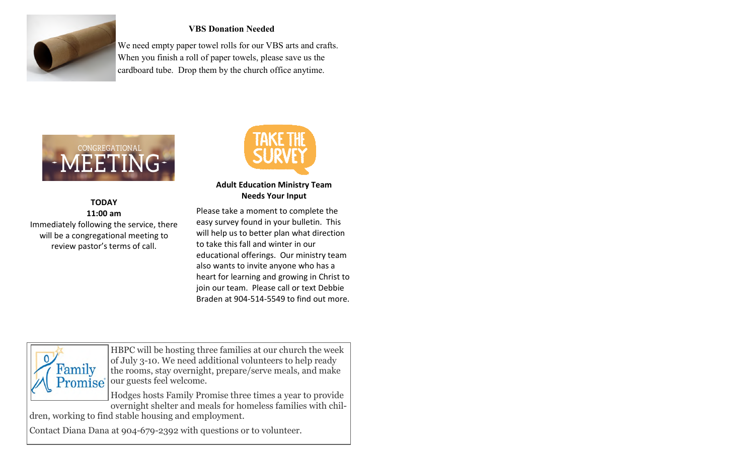

### **VBS Donation Needed**

We need empty paper towel rolls for our VBS arts and crafts. When you finish a roll of paper towels, please save us the cardboard tube. Drop them by the church office anytime.



#### **TODAY 11:00 am** Immediately following the service, there will be a congregational meeting to review pastor's terms of call.



### **Adult Education Ministry Team Needs Your Input**

Please take a moment to complete the easy survey found in your bulletin. This will help us to better plan what direction to take this fall and winter in our educational offerings. Our ministry team also wants to invite anyone who has a heart for learning and growing in Christ to join our team. Please call or text Debbie Braden at 904-514-5549 to find out more.



HBPC will be hosting three families at our church the week of July 3-10. We need additional volunteers to help ready the rooms, stay overnight, prepare/serve meals, and make our guests feel welcome.

Hodges hosts Family Promise three times a year to provide overnight shelter and meals for homeless families with chil-

dren, working to find stable housing and employment.

Contact Diana Dana at 904-679-2392 with questions or to volunteer.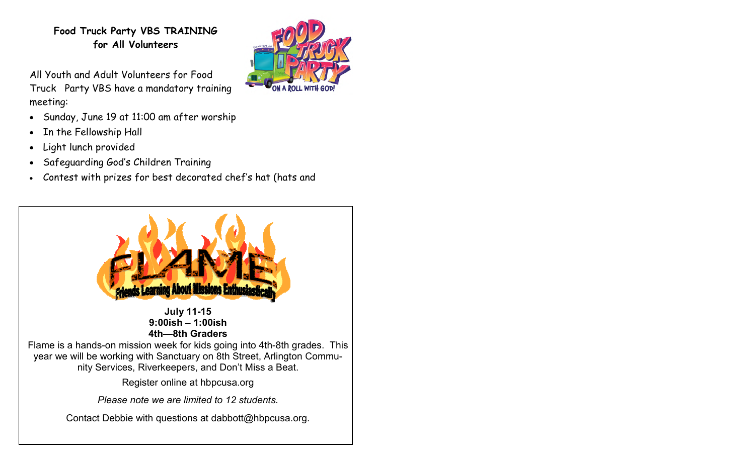# **Food Truck Party VBS TRAINING for All Volunteers**

All Youth and Adult Volunteers for Food Truck Party VBS have a mandatory training meeting:



- Sunday, June 19 at 11:00 am after worship
- In the Fellowship Hall
- Light lunch provided
- Safeguarding God's Children Training
- Contest with prizes for best decorated chef's hat (hats and

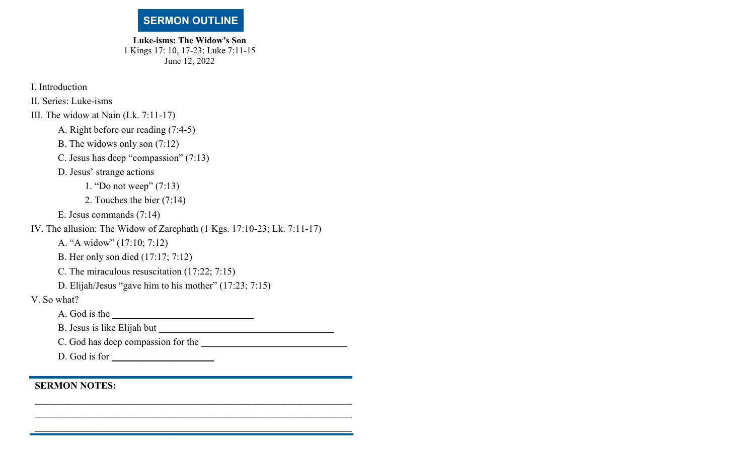## **SERMON OUTLINE**

**Luke-isms: The Widow's Son**  1 Kings 17: 10, 17-23; Luke 7:11-15 June 12, 2022

I. Introduction

II. Series: Luke-isms

III. The widow at Nain (Lk. 7:11-17)

A. Right before our reading (7:4-5)

B. The widows only son (7:12)

C. Jesus has deep "compassion" (7:13)

D. Jesus' strange actions

1. "Do not weep" (7:13)

2. Touches the bier (7:14)

E. Jesus commands (7:14)

IV. The allusion: The Widow of Zarephath (1 Kgs. 17:10-23; Lk. 7:11-17)

A. "A widow" (17:10; 7:12)

B. Her only son died (17:17; 7:12)

C. The miraculous resuscitation (17:22; 7:15)

D. Elijah/Jesus "gave him to his mother" (17:23; 7:15)

\_\_\_\_\_\_\_\_\_\_\_\_\_\_\_\_\_\_\_\_\_\_\_\_\_\_\_\_\_\_\_\_\_\_\_\_\_\_\_\_\_\_\_\_\_\_\_\_\_\_\_\_\_\_\_\_\_\_\_\_\_\_\_\_\_\_\_\_\_\_\_\_\_\_\_\_\_\_\_\_\_\_\_\_\_

V. So what?

A. God is the \_\_\_\_\_\_\_\_\_\_\_\_\_\_\_\_\_\_\_\_\_\_\_\_\_\_\_\_\_

B. Jesus is like Elijah but \_\_\_\_\_\_\_\_\_\_\_\_\_\_\_\_\_\_\_\_\_\_\_\_\_\_\_\_\_\_\_\_\_\_\_\_ C. God has deep compassion for the \_\_\_\_\_\_\_\_\_\_\_\_\_\_\_\_\_\_\_\_\_\_\_\_\_\_\_\_\_\_ D. God is for \_\_\_\_\_\_\_\_\_\_\_\_\_\_\_\_\_\_\_\_\_

**SERMON NOTES:**